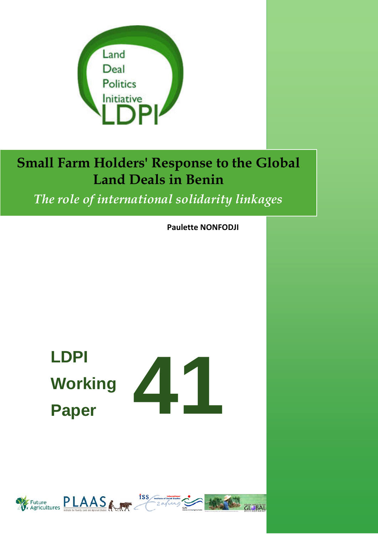

*The role of international solidarity linkages*

**Paulette NONFODJI**

**CLOBAL** 

# **41 LDPI Working Paper**

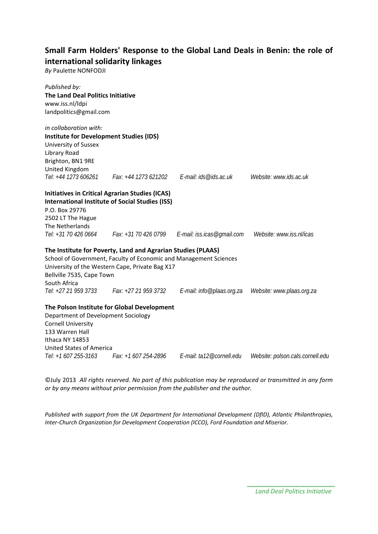## **Small Farm Holders' Response to the Global Land Deals in Benin: the role of international solidarity linkages**

*By* Paulette NONFODJI

| Published by:                                  |                                                                   |                                                   |                                  |
|------------------------------------------------|-------------------------------------------------------------------|---------------------------------------------------|----------------------------------|
| The Land Deal Politics Initiative              |                                                                   |                                                   |                                  |
| www.iss.nl/ldpi                                |                                                                   |                                                   |                                  |
| landpolitics@gmail.com                         |                                                                   |                                                   |                                  |
| in collaboration with:                         |                                                                   |                                                   |                                  |
| <b>Institute for Development Studies (IDS)</b> |                                                                   |                                                   |                                  |
| University of Sussex                           |                                                                   |                                                   |                                  |
| Library Road                                   |                                                                   |                                                   |                                  |
| Brighton, BN1 9RE                              |                                                                   |                                                   |                                  |
| United Kingdom                                 |                                                                   |                                                   |                                  |
| Tel: +44 1273 606261                           | Fax: +44 1273 621202                                              | F-mail: ids@ids.ac.uk                             | Website: www.ids.ac.uk           |
|                                                | <b>Initiatives in Critical Agrarian Studies (ICAS)</b>            |                                                   |                                  |
|                                                | <b>International Institute of Social Studies (ISS)</b>            |                                                   |                                  |
| P.O. Box 29776                                 |                                                                   |                                                   |                                  |
| 2502 LT The Hague                              |                                                                   |                                                   |                                  |
| The Netherlands                                |                                                                   |                                                   |                                  |
| Tel: +31 70 426 0664                           |                                                                   | Fax: $+31$ 70 426 0799 E-mail: iss.icas@gmail.com | Website: www.iss.nl/icas         |
|                                                | The Institute for Poverty, Land and Agrarian Studies (PLAAS)      |                                                   |                                  |
|                                                | School of Government, Faculty of Economic and Management Sciences |                                                   |                                  |
|                                                | University of the Western Cape, Private Bag X17                   |                                                   |                                  |
| Bellville 7535, Cape Town                      |                                                                   |                                                   |                                  |
| South Africa                                   |                                                                   |                                                   |                                  |
|                                                | Tel: +27 21 959 3733 Fax: +27 21 959 3732                         | E-mail: info@plaas.org.za                         | Website: www.plaas.org.za        |
|                                                | The Polson Institute for Global Development                       |                                                   |                                  |
| Department of Development Sociology            |                                                                   |                                                   |                                  |
| <b>Cornell University</b>                      |                                                                   |                                                   |                                  |
| 133 Warren Hall                                |                                                                   |                                                   |                                  |
| Ithaca NY 14853                                |                                                                   |                                                   |                                  |
| <b>United States of America</b>                |                                                                   |                                                   |                                  |
| Tel: +1 607 255-3163                           | Fax: +1 607 254-2896                                              | E-mail: ta12@cornell.edu                          | Website: polson.cals.cornell.edu |

©July 2013 *All rights reserved. No part of this publication may be reproduced or transmitted in any form or by any means without prior permission from the publisher and the author.*

*Published with support from the UK Department for International Development (DfID), Atlantic Philanthropies, Inter-Church Organization for Development Cooperation (ICCO), Ford Foundation and Miserior.*

*Land Deal Politics Initiative*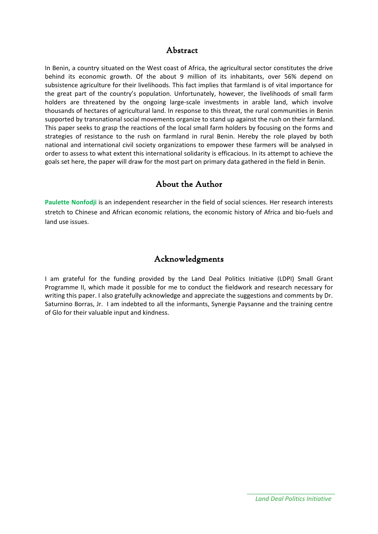### Abstract

In Benin, a country situated on the West coast of Africa, the agricultural sector constitutes the drive behind its economic growth. Of the about 9 million of its inhabitants, over 56% depend on subsistence agriculture for their livelihoods. This fact implies that farmland is of vital importance for the great part of the country's population. Unfortunately, however, the livelihoods of small farm holders are threatened by the ongoing large-scale investments in arable land, which involve thousands of hectares of agricultural land. In response to this threat, the rural communities in Benin supported by transnational social movements organize to stand up against the rush on their farmland. This paper seeks to grasp the reactions of the local small farm holders by focusing on the forms and strategies of resistance to the rush on farmland in rural Benin. Hereby the role played by both national and international civil society organizations to empower these farmers will be analysed in order to assess to what extent this international solidarity is efficacious. In its attempt to achieve the goals set here, the paper will draw for the most part on primary data gathered in the field in Benin.

### About the Author

**Paulette Nonfodji** is an independent researcher in the field of social sciences. Her research interests stretch to Chinese and African economic relations, the economic history of Africa and bio-fuels and land use issues.

### Acknowledgments

I am grateful for the funding provided by the Land Deal Politics Initiative (LDPI) Small Grant Programme II, which made it possible for me to conduct the fieldwork and research necessary for writing this paper. I also gratefully acknowledge and appreciate the suggestions and comments by Dr. Saturnino Borras, Jr. I am indebted to all the informants, Synergie Paysanne and the training centre of Glo for their valuable input and kindness.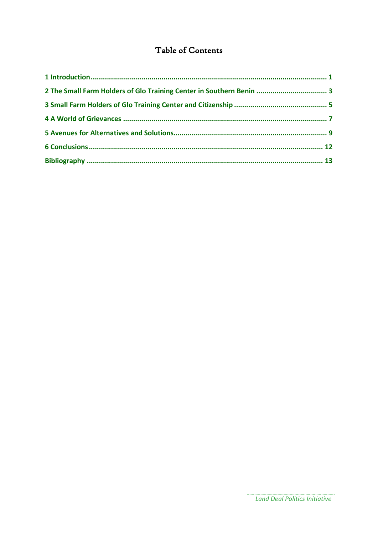# Table of Contents

| 2 The Small Farm Holders of Glo Training Center in Southern Benin  3 |  |
|----------------------------------------------------------------------|--|
|                                                                      |  |
|                                                                      |  |
|                                                                      |  |
|                                                                      |  |
|                                                                      |  |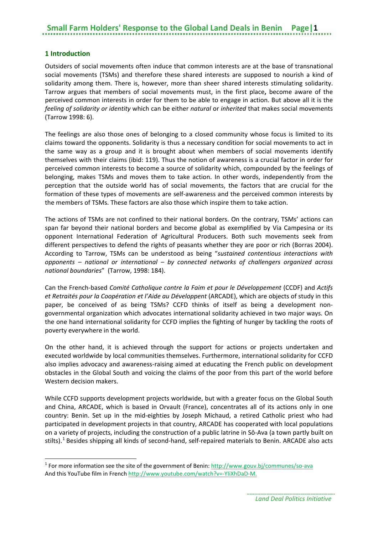#### <span id="page-4-0"></span>**1 Introduction**

**.** 

Outsiders of social movements often induce that common interests are at the base of transnational social movements (TSMs) and therefore these shared interests are supposed to nourish a kind of solidarity among them. There is, however, more than sheer shared interests stimulating solidarity. Tarrow argues that members of social movements must, in the first place**,** become aware of the perceived common interests in order for them to be able to engage in action. But above all it is the *feeling of solidarity or identity* which can be either *natural* or *inherited* that makes social movements (Tarrow 1998: 6).

The feelings are also those ones of belonging to a closed community whose focus is limited to its claims toward the opponents. Solidarity is thus a necessary condition for social movements to act in the same way as a group and it is brought about when members of social movements identify themselves with their claims (ibid: 119). Thus the notion of awareness is a crucial factor in order for perceived common interests to become a source of solidarity which, compounded by the feelings of belonging, makes TSMs and moves them to take action. In other words, independently from the perception that the outside world has of social movements, the factors that are crucial for the formation of these types of movements are self-awareness and the perceived common interests by the members of TSMs. These factors are also those which inspire them to take action.

The actions of TSMs are not confined to their national borders. On the contrary, TSMs' actions can span far beyond their national borders and become global as exemplified by Via Campesina or its opponent International Federation of Agricultural Producers. Both such movements seek from different perspectives to defend the rights of peasants whether they are poor or rich (Borras 2004). According to Tarrow, TSMs can be understood as being "*sustained contentious interactions with opponents – national or international – by connected networks of challengers organized across national boundaries*" (Tarrow, 1998: 184).

Can the French-based *Comité Catholique contre la Faim et pour le Développement* (CCDF) and *Actifs et Retraités pour la Coopération et l'Aide au Développent* (ARCADE), which are objects of study in this paper, be conceived of as being TSMs? CCFD thinks of itself as being a development nongovernmental organization which advocates international solidarity achieved in two major ways. On the one hand international solidarity for CCFD implies the fighting of hunger by tackling the roots of poverty everywhere in the world.

On the other hand, it is achieved through the support for actions or projects undertaken and executed worldwide by local communities themselves. Furthermore, international solidarity for CCFD also implies advocacy and awareness-raising aimed at educating the French public on development obstacles in the Global South and voicing the claims of the poor from this part of the world before Western decision makers.

While CCFD supports development projects worldwide, but with a greater focus on the Global South and China, ARCADE, which is based in Orvault (France), concentrates all of its actions only in one country: Benin. Set up in the mid-eighties by Joseph Michaud, a retired Catholic priest who had participated in development projects in that country, ARCADE has cooperated with local populations on a variety of projects, including the construction of a public latrine in Sô-Ava (a town partly built on stilts).<sup>[1](#page-4-1)</sup> Besides shipping all kinds of second-hand, self-repaired materials to Benin. ARCADE also acts

<span id="page-4-1"></span><sup>&</sup>lt;sup>1</sup> For more information see the site of the government of Benin[: http://www.gouv.bj/communes/so-ava](http://www.gouv.bj/communes/so-ava) And this YouTube film in Frenc[h http://www.youtube.com/watch?v=-YIiXhDaD-M.](http://www.youtube.com/watch?v=-YIiXhDaD-M)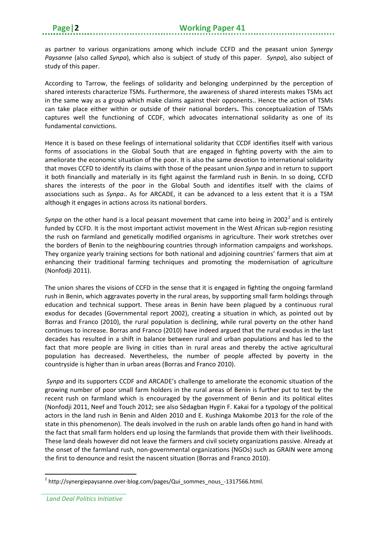as partner to various organizations among which include CCFD and the peasant union *Synergy Paysanne* (also called *Synpa*), which also is subject of study of this paper. *Synpa*), also subject of study of this paper.

According to Tarrow, the feelings of solidarity and belonging underpinned by the perception of shared interests characterize TSMs. Furthermore, the awareness of shared interests makes TSMs act in the same way as a group which make claims against their opponents.. Hence the action of TSMs can take place either within or outside of their national borders**.** This conceptualization of TSMs captures well the functioning of CCDF, which advocates international solidarity as one of its fundamental convictions.

Hence it is based on these feelings of international solidarity that CCDF identifies itself with various forms of associations in the Global South that are engaged in fighting poverty with the aim to ameliorate the economic situation of the poor. It is also the same devotion to international solidarity that moves CCFD to identify its claims with those of the peasant union *Synpa* and in return to support it both financially and materially in its fight against the farmland rush in Benin. In so doing, CCFD shares the interests of the poor in the Global South and identifies itself with the claims of associations such as *Synpa*.. As for ARCADE, it can be advanced to a less extent that it is a TSM although it engages in actions across its national borders.

*Synpa* on the other hand is a local peasant movement that came into being in [2](#page-5-0)002<sup>2</sup> and is entirely funded by CCFD. It is the most important activist movement in the West African sub-region resisting the rush on farmland and genetically modified organisms in agriculture. Their work stretches over the borders of Benin to the neighbouring countries through information campaigns and workshops. They organize yearly training sections for both national and adjoining countries' farmers that aim at enhancing their traditional farming techniques and promoting the modernisation of agriculture (Nonfodji 2011).

The union shares the visions of CCFD in the sense that it is engaged in fighting the ongoing farmland rush in Benin, which aggravates poverty in the rural areas, by supporting small farm holdings through education and technical support. These areas in Benin have been plagued by a continuous rural exodus for decades (Governmental report 2002), creating a situation in which, as pointed out by Borras and Franco (2010), the rural population is declining, while rural poverty on the other hand continues to increase. Borras and Franco (2010) have indeed argued that the rural exodus in the last decades has resulted in a shift in balance between rural and urban populations and has led to the fact that more people are living in cities than in rural areas and thereby the active agricultural population has decreased. Nevertheless, the number of people affected by poverty in the countryside is higher than in urban areas (Borras and Franco 2010).

*Synpa* and its supporters CCDF and ARCADE's challenge to ameliorate the economic situation of the growing number of poor small farm holders in the rural areas of Benin is further put to test by the recent rush on farmland which is encouraged by the government of Benin and its political elites (Nonfodji 2011, Neef and Touch 2012; see also Sèdagban Hygin F. Kakai for a typology of the political actors in the land rush in Benin and Alden 2010 and E. Kushinga Makombe 2013 for the role of the state in this phenomenon). The deals involved in the rush on arable lands often go hand in hand with the fact that small farm holders end up losing the farmlands that provide them with their livelihoods. These land deals however did not leave the farmers and civil society organizations passive. Already at the onset of the farmland rush, non-governmental organizations (NGOs) such as GRAIN were among the first to denounce and resist the nascent situation (Borras and Franco 2010).

<span id="page-5-0"></span> $^{2}$  http://synergiepaysanne.over-blog.com/pages/Qui\_sommes\_nous\_-1317566.html.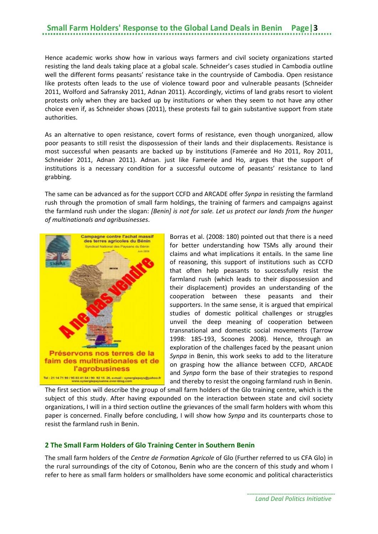Hence academic works show how in various ways farmers and civil society organizations started resisting the land deals taking place at a global scale. Schneider's cases studied in Cambodia outline well the different forms peasants' resistance take in the countryside of Cambodia. Open resistance like protests often leads to the use of violence toward poor and vulnerable peasants (Schneider 2011, Wolford and Safransky 2011, Adnan 2011). Accordingly, victims of land grabs resort to violent protests only when they are backed up by institutions or when they seem to not have any other choice even if, as Schneider shows (2011), these protests fail to gain substantive support from state authorities.

As an alternative to open resistance, covert forms of resistance, even though unorganized, allow poor peasants to still resist the dispossession of their lands and their displacements. Resistance is most successful when peasants are backed up by institutions (Famerée and Ho 2011, Roy 2011, Schneider 2011, Adnan 2011). Adnan. just like Famerée and Ho, argues that the support of institutions is a necessary condition for a successful outcome of peasants' resistance to land grabbing.

The same can be advanced as for the support CCFD and ARCADE offer *Synpa* in resisting the farmland rush through the promotion of small farm holdings, the training of farmers and campaigns against the farmland rush under the slogan: *[Benin] is not for sale. Let us protect our lands from the hunger of multinationals and agribusinesses*.



Borras et al. (2008: 180) pointed out that there is a need for better understanding how TSMs ally around their claims and what implications it entails. In the same line of reasoning, this support of institutions such as CCFD that often help peasants to successfully resist the farmland rush (which leads to their dispossession and their displacement) provides an understanding of the cooperation between these peasants and their supporters. In the same sense, it is argued that empirical studies of domestic political challenges or struggles unveil the deep meaning of cooperation between transnational and domestic social movements (Tarrow 1998: 185-193, Scoones 2008). Hence, through an exploration of the challenges faced by the peasant union *Synpa* in Benin, this work seeks to add to the literature on grasping how the alliance between CCFD, ARCADE and *Synpa* form the base of their strategies to respond and thereby to resist the ongoing farmland rush in Benin.

The first section will describe the group of small farm holders of the Glo training centre, which is the subject of this study. After having expounded on the interaction between state and civil society organizations, I will in a third section outline the grievances of the small farm holders with whom this paper is concerned. Finally before concluding, I will show how *Synpa* and its counterparts chose to resist the farmland rush in Benin.

#### <span id="page-6-0"></span>**2 The Small Farm Holders of Glo Training Center in Southern Benin**

The small farm holders of the *Centre de Formation Agricole* of Glo (Further referred to us CFA Glo) in the rural surroundings of the city of Cotonou, Benin who are the concern of this study and whom I refer to here as small farm holders or smallholders have some economic and political characteristics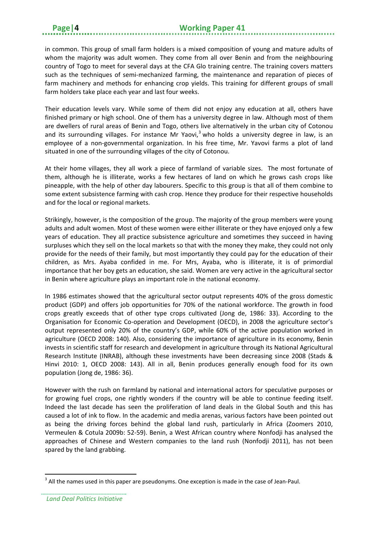in common. This group of small farm holders is a mixed composition of young and mature adults of whom the majority was adult women. They come from all over Benin and from the neighbouring country of Togo to meet for several days at the CFA Glo training centre. The training covers matters such as the techniques of semi-mechanized farming, the maintenance and reparation of pieces of farm machinery and methods for enhancing crop yields. This training for different groups of small farm holders take place each year and last four weeks.

Their education levels vary. While some of them did not enjoy any education at all, others have finished primary or high school. One of them has a university degree in law. Although most of them are dwellers of rural areas of Benin and Togo, others live alternatively in the urban city of Cotonou and its surrounding villages. For instance Mr Yaovi,<sup>[3](#page-7-0)</sup> who holds a university degree in law, is an employee of a non-governmental organization. In his free time, Mr. Yavovi farms a plot of land situated in one of the surrounding villages of the city of Cotonou.

At their home villages, they all work a piece of farmland of variable sizes. The most fortunate of them, although he is illiterate, works a few hectares of land on which he grows cash crops like pineapple, with the help of other day labourers. Specific to this group is that all of them combine to some extent subsistence farming with cash crop. Hence they produce for their respective households and for the local or regional markets.

Strikingly, however, is the composition of the group. The majority of the group members were young adults and adult women. Most of these women were either illiterate or they have enjoyed only a few years of education. They all practice subsistence agriculture and sometimes they succeed in having surpluses which they sell on the local markets so that with the money they make, they could not only provide for the needs of their family, but most importantly they could pay for the education of their children, as Mrs. Ayaba confided in me. For Mrs, Ayaba, who is illiterate, it is of primordial importance that her boy gets an education, she said. Women are very active in the agricultural sector in Benin where agriculture plays an important role in the national economy.

In 1986 estimates showed that the agricultural sector output represents 40% of the gross domestic product (GDP) and offers job opportunities for 70% of the national workforce. The growth in food crops greatly exceeds that of other type crops cultivated (Jong de, 1986: 33). According to the Organisation for Economic Co-operation and Development (OECD), in 2008 the agriculture sector's output represented only 20% of the country's GDP, while 60% of the active population worked in agriculture (OECD 2008: 140). Also, considering the importance of agriculture in its economy, Benin invests in scientific staff for research and development in agriculture through its National Agricultural Research Institute (INRAB), although these investments have been decreasing since 2008 (Stads & Hinvi 2010: 1, OECD 2008: 143). All in all, Benin produces generally enough food for its own population (Jong de, 1986: 36).

However with the rush on farmland by national and international actors for speculative purposes or for growing fuel crops, one rightly wonders if the country will be able to continue feeding itself. Indeed the last decade has seen the proliferation of land deals in the Global South and this has caused a lot of ink to flow. In the academic and media arenas, various factors have been pointed out as being the driving forces behind the global land rush, particularly in Africa (Zoomers 2010, Vermeulen & Cotula 2009b: 52-59). Benin, a West African country where Nonfodji has analysed the approaches of Chinese and Western companies to the land rush (Nonfodji 2011), has not been spared by the land grabbing.

<span id="page-7-0"></span> $3$  All the names used in this paper are pseudonyms. One exception is made in the case of Jean-Paul.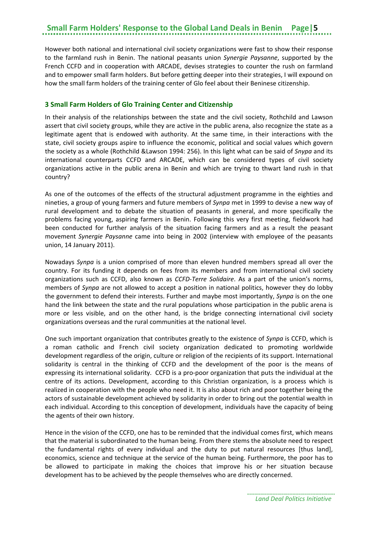However both national and international civil society organizations were fast to show their response to the farmland rush in Benin. The national peasants union *Synergie Paysanne*, supported by the French CCFD and in cooperation with ARCADE, devises strategies to counter the rush on farmland and to empower small farm holders. But before getting deeper into their strategies, I will expound on how the small farm holders of the training center of Glo feel about their Beninese citizenship.

#### <span id="page-8-0"></span>**3 Small Farm Holders of Glo Training Center and Citizenship**

In their analysis of the relationships between the state and the civil society, Rothchild and Lawson assert that civil society groups, while they are active in the public arena, also recognize the state as a legitimate agent that is endowed with authority. At the same time, in their interactions with the state, civil society groups aspire to influence the economic, political and social values which govern the society as a whole (Rothchild &Lawson 1994: 256). In this light what can be said of *Snypa* and its international counterparts CCFD and ARCADE, which can be considered types of civil society organizations active in the public arena in Benin and which are trying to thwart land rush in that country?

As one of the outcomes of the effects of the structural adjustment programme in the eighties and nineties, a group of young farmers and future members of *Synpa* met in 1999 to devise a new way of rural development and to debate the situation of peasants in general, and more specifically the problems facing young, aspiring farmers in Benin. Following this very first meeting, fieldwork had been conducted for further analysis of the situation facing farmers and as a result the peasant movement *Synergie Paysanne* came into being in 2002 (interview with employee of the peasants union, 14 January 2011).

Nowadays *Synpa* is a union comprised of more than eleven hundred members spread all over the country. For its funding it depends on fees from its members and from international civil society organizations such as CCFD, also known as *CCFD-Terre Solidaire*. As a part of the union's norms, members of *Synpa* are not allowed to accept a position in national politics, however they do lobby the government to defend their interests. Further and maybe most importantly, *Synpa* is on the one hand the link between the state and the rural populations whose participation in the public arena is more or less visible, and on the other hand, is the bridge connecting international civil society organizations overseas and the rural communities at the national level.

One such important organization that contributes greatly to the existence of *Synpa* is CCFD, which is a roman catholic and French civil society organization dedicated to promoting worldwide development regardless of the origin, culture or religion of the recipients of its support. International solidarity is central in the thinking of CCFD and the development of the poor is the means of expressing its international solidarity. CCFD is a pro-poor organization that puts the individual at the centre of its actions. Development, according to this Christian organization, is a process which is realized in cooperation with the people who need it. It is also about rich and poor together being the actors of sustainable development achieved by solidarity in order to bring out the potential wealth in each individual. According to this conception of development, individuals have the capacity of being the agents of their own history.

Hence in the vision of the CCFD, one has to be reminded that the individual comes first, which means that the material is subordinated to the human being. From there stems the absolute need to respect the fundamental rights of every individual and the duty to put natural resources [thus land], economics, science and technique at the service of the human being. Furthermore, the poor has to be allowed to participate in making the choices that improve his or her situation because development has to be achieved by the people themselves who are directly concerned.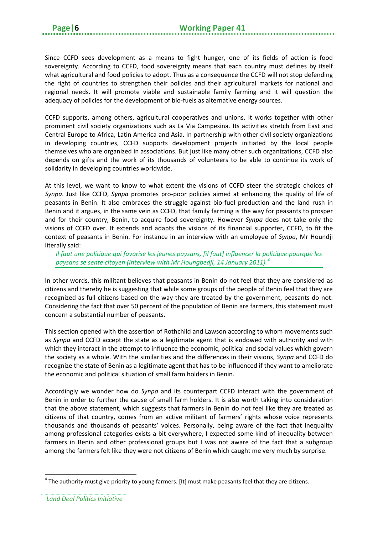Since CCFD sees development as a means to fight hunger, one of its fields of action is food sovereignty. According to CCFD, food sovereignty means that each country must defines by itself what agricultural and food policies to adopt. Thus as a consequence the CCFD will not stop defending the right of countries to strengthen their policies and their agricultural markets for national and regional needs. It will promote viable and sustainable family farming and it will question the adequacy of policies for the development of bio-fuels as alternative energy sources.

CCFD supports, among others, agricultural cooperatives and unions. It works together with other prominent civil society organizations such as La Via Campesina. Its activities stretch from East and Central Europe to Africa, Latin America and Asia. In partnership with other civil society organizations in developing countries, CCFD supports development projects initiated by the local people themselves who are organized in associations. But just like many other such organizations, CCFD also depends on gifts and the work of its thousands of volunteers to be able to continue its work of solidarity in developing countries worldwide.

At this level, we want to know to what extent the visions of CCFD steer the strategic choices of *Synpa*. Just like CCFD, *Synpa* promotes pro-poor policies aimed at enhancing the quality of life of peasants in Benin. It also embraces the struggle against bio-fuel production and the land rush in Benin and it argues, in the same vein as CCFD, that family farming is the way for peasants to prosper and for their country, Benin, to acquire food sovereignty. However *Synpa* does not take only the visions of CCFD over. It extends and adapts the visions of its financial supporter, CCFD, to fit the context of peasants in Benin. For instance in an interview with an employee of *Synpa*, Mr Houndji literally said:

*Il faut une politique qui favorise les jeunes paysans, [il faut] influencer la politique pourque les paysans se sente citoyen (Interview with Mr Houngbedji, 14 January 2011). [4](#page-9-0)*

In other words, this militant believes that peasants in Benin do not feel that they are considered as citizens and thereby he is suggesting that while some groups of the people of Benin feel that they are recognized as full citizens based on the way they are treated by the government, peasants do not. Considering the fact that over 50 percent of the population of Benin are farmers, this statement must concern a substantial number of peasants.

This section opened with the assertion of Rothchild and Lawson according to whom movements such as *Synpa* and CCFD accept the state as a legitimate agent that is endowed with authority and with which they interact in the attempt to influence the economic, political and social values which govern the society as a whole. With the similarities and the differences in their visions, *Synpa* and CCFD do recognize the state of Benin as a legitimate agent that has to be influenced if they want to ameliorate the economic and political situation of small farm holders in Benin.

Accordingly we wonder how do *Synpa* and its counterpart CCFD interact with the government of Benin in order to further the cause of small farm holders. It is also worth taking into consideration that the above statement, which suggests that farmers in Benin do not feel like they are treated as citizens of that country, comes from an active militant of farmers' rights whose voice represents thousands and thousands of peasants' voices. Personally, being aware of the fact that inequality among professional categories exists a bit everywhere, I expected some kind of inequality between farmers in Benin and other professional groups but I was not aware of the fact that a subgroup among the farmers felt like they were not citizens of Benin which caught me very much by surprise.

<span id="page-9-0"></span> $<sup>4</sup>$  The authority must give priority to young farmers. [It] must make peasants feel that they are citizens.</sup>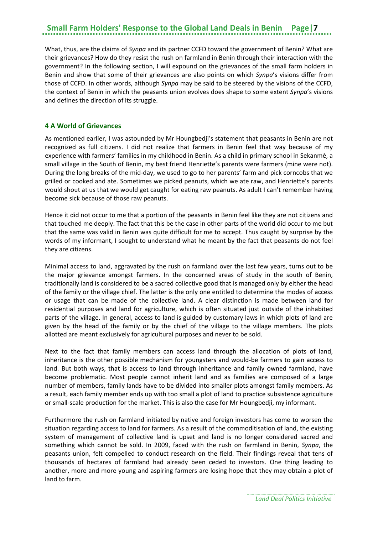What, thus, are the claims of *Synpa* and its partner CCFD toward the government of Benin? What are their grievances? How do they resist the rush on farmland in Benin through their interaction with the government? In the following section, I will expound on the grievances of the small farm holders in Benin and show that some of their grievances are also points on which *Synpa*'s visions differ from those of CCFD. In other words, although *Synpa* may be said to be steered by the visions of the CCFD, the context of Benin in which the peasants union evolves does shape to some extent *Synpa*'s visions and defines the direction of its struggle.

#### <span id="page-10-0"></span>**4 A World of Grievances**

As mentioned earlier, I was astounded by Mr Houngbedji's statement that peasants in Benin are not recognized as full citizens. I did not realize that farmers in Benin feel that way because of my experience with farmers' families in my childhood in Benin. As a child in primary school in Sekanmè, a small village in the South of Benin, my best friend Henriette's parents were farmers (mine were not). During the long breaks of the mid-day, we used to go to her parents' farm and pick corncobs that we grilled or cooked and ate. Sometimes we picked peanuts, which we ate raw, and Henriette's parents would shout at us that we would get caught for eating raw peanuts. As adult I can't remember having become sick because of those raw peanuts.

Hence it did not occur to me that a portion of the peasants in Benin feel like they are not citizens and that touched me deeply. The fact that this be the case in other parts of the world did occur to me but that the same was valid in Benin was quite difficult for me to accept. Thus caught by surprise by the words of my informant, I sought to understand what he meant by the fact that peasants do not feel they are citizens.

Minimal access to land, aggravated by the rush on farmland over the last few years, turns out to be the major grievance amongst farmers. In the concerned areas of study in the south of Benin, traditionally land is considered to be a sacred collective good that is managed only by either the head of the family or the village chief. The latter is the only one entitled to determine the modes of access or usage that can be made of the collective land. A clear distinction is made between land for residential purposes and land for agriculture, which is often situated just outside of the inhabited parts of the village. In general, access to land is guided by customary laws in which plots of land are given by the head of the family or by the chief of the village to the village members. The plots allotted are meant exclusively for agricultural purposes and never to be sold.

Next to the fact that family members can access land through the allocation of plots of land, inheritance is the other possible mechanism for youngsters and would-be farmers to gain access to land. But both ways, that is access to land through inheritance and family owned farmland, have become problematic. Most people cannot inherit land and as families are composed of a large number of members, family lands have to be divided into smaller plots amongst family members. As a result, each family member ends up with too small a plot of land to practice subsistence agriculture or small-scale production for the market. This is also the case for Mr Houngbedji, my informant.

Furthermore the rush on farmland initiated by native and foreign investors has come to worsen the situation regarding access to land for farmers. As a result of the commoditisation of land, the existing system of management of collective land is upset and land is no longer considered sacred and something which cannot be sold. In 2009, faced with the rush on farmland in Benin, *Synpa*, the peasants union, felt compelled to conduct research on the field. Their findings reveal that tens of thousands of hectares of farmland had already been ceded to investors. One thing leading to another, more and more young and aspiring farmers are losing hope that they may obtain a plot of land to farm.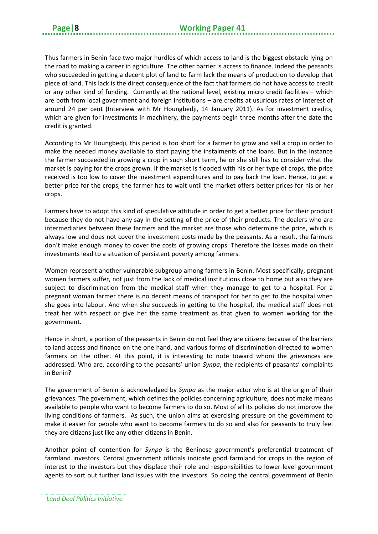Thus farmers in Benin face two major hurdles of which access to land is the biggest obstacle lying on the road to making a career in agriculture. The other barrier is access to finance. Indeed the peasants who succeeded in getting a decent plot of land to farm lack the means of production to develop that piece of land. This lack is the direct consequence of the fact that farmers do not have access to credit or any other kind of funding. Currently at the national level, existing micro credit facilities – which are both from local government and foreign institutions – are credits at usurious rates of interest of around 24 per cent (Interview with Mr Houngbedji, 14 January 2011). As for investment credits, which are given for investments in machinery, the payments begin three months after the date the credit is granted.

According to Mr Houngbedji, this period is too short for a farmer to grow and sell a crop in order to make the needed money available to start paying the instalments of the loans. But in the instance the farmer succeeded in growing a crop in such short term, he or she still has to consider what the market is paying for the crops grown. If the market is flooded with his or her type of crops, the price received is too low to cover the investment expenditures and to pay back the loan. Hence, to get a better price for the crops, the farmer has to wait until the market offers better prices for his or her crops.

Farmers have to adopt this kind of speculative attitude in order to get a better price for their product because they do not have any say in the setting of the price of their products. The dealers who are intermediaries between these farmers and the market are those who determine the price, which is always low and does not cover the investment costs made by the peasants. As a result, the farmers don't make enough money to cover the costs of growing crops. Therefore the losses made on their investments lead to a situation of persistent poverty among farmers.

Women represent another vulnerable subgroup among farmers in Benin. Most specifically, pregnant women farmers suffer, not just from the lack of medical institutions close to home but also they are subject to discrimination from the medical staff when they manage to get to a hospital. For a pregnant woman farmer there is no decent means of transport for her to get to the hospital when she goes into labour. And when she succeeds in getting to the hospital, the medical staff does not treat her with respect or give her the same treatment as that given to women working for the government.

Hence in short, a portion of the peasants in Benin do not feel they are citizens because of the barriers to land access and finance on the one hand, and various forms of discrimination directed to women farmers on the other. At this point, it is interesting to note toward whom the grievances are addressed. Who are, according to the peasants' union *Synpa*, the recipients of peasants' complaints in Benin?

The government of Benin is acknowledged by *Synpa* as the major actor who is at the origin of their grievances. The government, which defines the policies concerning agriculture, does not make means available to people who want to become farmers to do so. Most of all its policies do not improve the living conditions of farmers. As such, the union aims at exercising pressure on the government to make it easier for people who want to become farmers to do so and also for peasants to truly feel they are citizens just like any other citizens in Benin.

Another point of contention for *Synpa* is the Beninese government's preferential treatment of farmland investors. Central government officials indicate good farmland for crops in the region of interest to the investors but they displace their role and responsibilities to lower level government agents to sort out further land issues with the investors. So doing the central government of Benin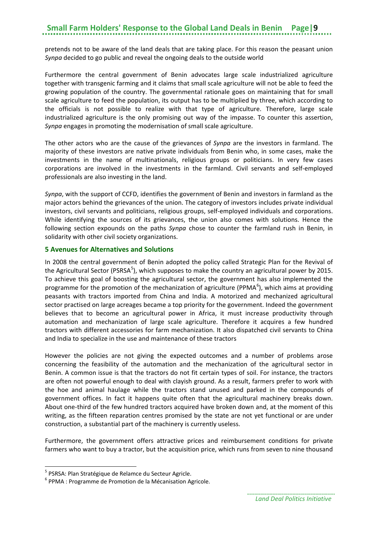pretends not to be aware of the land deals that are taking place. For this reason the peasant union *Synpa* decided to go public and reveal the ongoing deals to the outside world

Furthermore the central government of Benin advocates large scale industrialized agriculture together with transgenic farming and it claims that small scale agriculture will not be able to feed the growing population of the country. The governmental rationale goes on maintaining that for small scale agriculture to feed the population, its output has to be multiplied by three, which according to the officials is not possible to realize with that type of agriculture. Therefore, large scale industrialized agriculture is the only promising out way of the impasse. To counter this assertion, *Synpa* engages in promoting the modernisation of small scale agriculture.

The other actors who are the cause of the grievances of *Synpa* are the investors in farmland. The majority of these investors are native private individuals from Benin who, in some cases, make the investments in the name of multinationals, religious groups or politicians. In very few cases corporations are involved in the investments in the farmland. Civil servants and self-employed professionals are also investing in the land.

*Synpa*, with the support of CCFD, identifies the government of Benin and investors in farmland as the major actors behind the grievances of the union. The category of investors includes private individual investors, civil servants and politicians, religious groups, self-employed individuals and corporations. While identifying the sources of its grievances, the union also comes with solutions. Hence the following section expounds on the paths *Synpa* chose to counter the farmland rush in Benin, in solidarity with other civil society organizations.

#### <span id="page-12-0"></span>**5 Avenues for Alternatives and Solutions**

In 2008 the central government of Benin adopted the policy called Strategic Plan for the Revival of the Agricultural Sector (PSRSA<sup>[5](#page-12-1)</sup>), which supposes to make the country an agricultural power by 2015. To achieve this goal of boosting the agricultural sector, the government has also implemented the programme for the promotion of the mechanization of agriculture (PPMA<sup>[6](#page-12-2)</sup>), which aims at providing peasants with tractors imported from China and India. A motorized and mechanized agricultural sector practised on large acreages became a top priority for the government. Indeed the government believes that to become an agricultural power in Africa, it must increase productivity through automation and mechanization of large scale agriculture. Therefore it acquires a few hundred tractors with different accessories for farm mechanization. It also dispatched civil servants to China and India to specialize in the use and maintenance of these tractors

However the policies are not giving the expected outcomes and a number of problems arose concerning the feasibility of the automation and the mechanization of the agricultural sector in Benin. A common issue is that the tractors do not fit certain types of soil. For instance, the tractors are often not powerful enough to deal with clayish ground. As a result, farmers prefer to work with the hoe and animal haulage while the tractors stand unused and parked in the compounds of government offices. In fact it happens quite often that the agricultural machinery breaks down. About one-third of the few hundred tractors acquired have broken down and, at the moment of this writing, as the fifteen reparation centres promised by the state are not yet functional or are under construction, a substantial part of the machinery is currently useless.

Furthermore, the government offers attractive prices and reimbursement conditions for private farmers who want to buy a tractor, but the acquisition price, which runs from seven to nine thousand

<span id="page-12-2"></span><span id="page-12-1"></span><sup>&</sup>lt;sup>5</sup> PSRSA: Plan Stratégique de Relamce du Secteur Agricle.<br><sup>6</sup> PPMA : Programme de Promotion de la Mécanisation Agricole.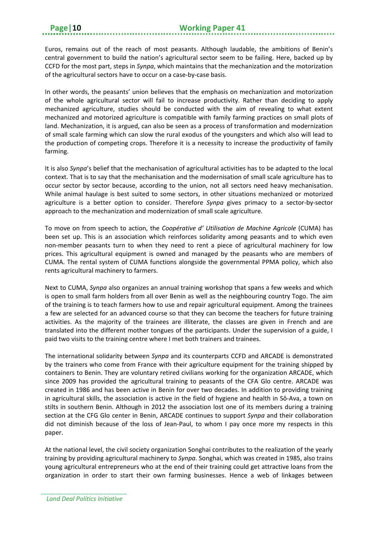Euros, remains out of the reach of most peasants. Although laudable, the ambitions of Benin's central government to build the nation's agricultural sector seem to be failing. Here, backed up by CCFD for the most part, steps in *Synpa*, which maintains that the mechanization and the motorization of the agricultural sectors have to occur on a case-by-case basis.

In other words, the peasants' union believes that the emphasis on mechanization and motorization of the whole agricultural sector will fail to increase productivity. Rather than deciding to apply mechanized agriculture, studies should be conducted with the aim of revealing to what extent mechanized and motorized agriculture is compatible with family farming practices on small plots of land. Mechanization, it is argued, can also be seen as a process of transformation and modernization of small scale farming which can slow the rural exodus of the youngsters and which also will lead to the production of competing crops. Therefore it is a necessity to increase the productivity of family farming.

It is also *Synpa*'s belief that the mechanisation of agricultural activities has to be adapted to the local context. That is to say that the mechanisation and the modernisation of small scale agriculture has to occur sector by sector because, according to the union, not all sectors need heavy mechanisation. While animal haulage is best suited to some sectors, in other situations mechanized or motorized agriculture is a better option to consider. Therefore *Synpa* gives primacy to a sector-by-sector approach to the mechanization and modernization of small scale agriculture.

To move on from speech to action, the *Coopérative d' Utilisation de Machine Agricole* (CUMA) has been set up. This is an association which reinforces solidarity among peasants and to which even non-member peasants turn to when they need to rent a piece of agricultural machinery for low prices. This agricultural equipment is owned and managed by the peasants who are members of CUMA. The rental system of CUMA functions alongside the governmental PPMA policy, which also rents agricultural machinery to farmers.

Next to CUMA, *Synpa* also organizes an annual training workshop that spans a few weeks and which is open to small farm holders from all over Benin as well as the neighbouring country Togo. The aim of the training is to teach farmers how to use and repair agricultural equipment. Among the trainees a few are selected for an advanced course so that they can become the teachers for future training activities. As the majority of the trainees are illiterate, the classes are given in French and are translated into the different mother tongues of the participants. Under the supervision of a guide, I paid two visits to the training centre where I met both trainers and trainees.

The international solidarity between *Synpa* and its counterparts CCFD and ARCADE is demonstrated by the trainers who come from France with their agriculture equipment for the training shipped by containers to Benin. They are voluntary retired civilians working for the organization ARCADE, which since 2009 has provided the agricultural training to peasants of the CFA Glo centre. ARCADE was created in 1986 and has been active in Benin for over two decades. In addition to providing training in agricultural skills, the association is active in the field of hygiene and health in Sô-Ava, a town on stilts in southern Benin. Although in 2012 the association lost one of its members during a training section at the CFG Glo center in Benin, ARCADE continues to support *Synpa* and their collaboration did not diminish because of the loss of Jean-Paul, to whom I pay once more my respects in this paper.

At the national level, the civil society organization Songhai contributes to the realization of the yearly training by providing agricultural machinery to *Synpa*. Songhai, which was created in 1985, also trains young agricultural entrepreneurs who at the end of their training could get attractive loans from the organization in order to start their own farming businesses. Hence a web of linkages between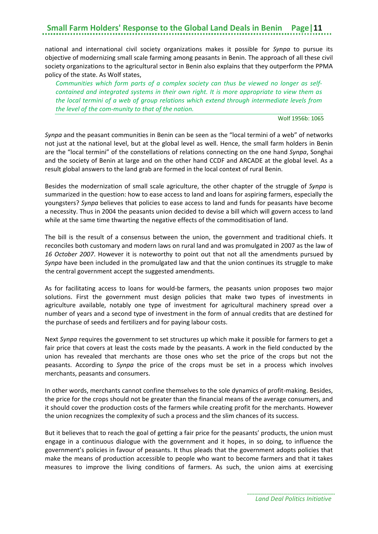national and international civil society organizations makes it possible for *Synpa* to pursue its objective of modernizing small scale farming among peasants in Benin. The approach of all these civil society organizations to the agricultural sector in Benin also explains that they outperform the PPMA policy of the state. As Wolf states,

*Communities which form parts of a complex society can thus be viewed no longer as selfcontained and integrated systems in their own right. It is more appropriate to view them as the local termini of a web of group relations which extend through intermediate levels from the level of the com-munity to that of the nation.*

#### Wolf 1956b: 1065

*Synpa* and the peasant communities in Benin can be seen as the "local termini of a web" of networks not just at the national level, but at the global level as well. Hence, the small farm holders in Benin are the "local termini" of the constellations of relations connecting on the one hand *Synpa*, Songhai and the society of Benin at large and on the other hand CCDF and ARCADE at the global level. As a result global answers to the land grab are formed in the local context of rural Benin.

Besides the modernization of small scale agriculture, the other chapter of the struggle of *Synpa* is summarized in the question: how to ease access to land and loans for aspiring farmers, especially the youngsters? *Synpa* believes that policies to ease access to land and funds for peasants have become a necessity. Thus in 2004 the peasants union decided to devise a bill which will govern access to land while at the same time thwarting the negative effects of the commoditisation of land.

The bill is the result of a consensus between the union, the government and traditional chiefs. It reconciles both customary and modern laws on rural land and was promulgated in 2007 as the law of *16 October 2007*. However it is noteworthy to point out that not all the amendments pursued by *Synpa* have been included in the promulgated law and that the union continues its struggle to make the central government accept the suggested amendments.

As for facilitating access to loans for would-be farmers, the peasants union proposes two major solutions. First the government must design policies that make two types of investments in agriculture available, notably one type of investment for agricultural machinery spread over a number of years and a second type of investment in the form of annual credits that are destined for the purchase of seeds and fertilizers and for paying labour costs.

Next *Synpa* requires the government to set structures up which make it possible for farmers to get a fair price that covers at least the costs made by the peasants. A work in the field conducted by the union has revealed that merchants are those ones who set the price of the crops but not the peasants. According to *Synpa* the price of the crops must be set in a process which involves merchants, peasants and consumers.

In other words, merchants cannot confine themselves to the sole dynamics of profit-making. Besides, the price for the crops should not be greater than the financial means of the average consumers, and it should cover the production costs of the farmers while creating profit for the merchants. However the union recognizes the complexity of such a process and the slim chances of its success.

But it believes that to reach the goal of getting a fair price for the peasants' products, the union must engage in a continuous dialogue with the government and it hopes, in so doing, to influence the government's policies in favour of peasants. It thus pleads that the government adopts policies that make the means of production accessible to people who want to become farmers and that it takes measures to improve the living conditions of farmers. As such, the union aims at exercising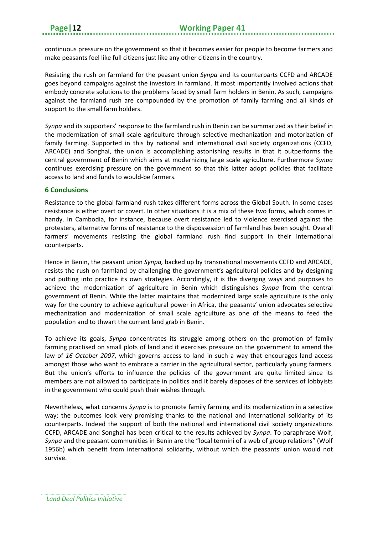continuous pressure on the government so that it becomes easier for people to become farmers and make peasants feel like full citizens just like any other citizens in the country.

Resisting the rush on farmland for the peasant union *Synpa* and its counterparts CCFD and ARCADE goes beyond campaigns against the investors in farmland. It most importantly involved actions that embody concrete solutions to the problems faced by small farm holders in Benin. As such, campaigns against the farmland rush are compounded by the promotion of family farming and all kinds of support to the small farm holders.

*Synpa* and its supporters' response to the farmland rush in Benin can be summarized as their belief in the modernization of small scale agriculture through selective mechanization and motorization of family farming. Supported in this by national and international civil society organizations (CCFD, ARCADE) and Songhai, the union is accomplishing astonishing results in that it outperforms the central government of Benin which aims at modernizing large scale agriculture. Furthermore *Synpa* continues exercising pressure on the government so that this latter adopt policies that facilitate access to land and funds to would-be farmers.

#### <span id="page-15-0"></span>**6 Conclusions**

Resistance to the global farmland rush takes different forms across the Global South. In some cases resistance is either overt or covert. In other situations it is a mix of these two forms, which comes in handy. In Cambodia, for instance, because overt resistance led to violence exercised against the protesters, alternative forms of resistance to the dispossession of farmland has been sought. Overall farmers' movements resisting the global farmland rush find support in their international counterparts.

Hence in Benin, the peasant union *Synpa,* backed up by transnational movements CCFD and ARCADE, resists the rush on farmland by challenging the government's agricultural policies and by designing and putting into practice its own strategies. Accordingly, it is the diverging ways and purposes to achieve the modernization of agriculture in Benin which distinguishes *Synpa* from the central government of Benin. While the latter maintains that modernized large scale agriculture is the only way for the country to achieve agricultural power in Africa, the peasants' union advocates selective mechanization and modernization of small scale agriculture as one of the means to feed the population and to thwart the current land grab in Benin.

To achieve its goals, *Synpa* concentrates its struggle among others on the promotion of family farming practised on small plots of land and it exercises pressure on the government to amend the law of *16 October 2007*, which governs access to land in such a way that encourages land access amongst those who want to embrace a carrier in the agricultural sector, particularly young farmers. But the union's efforts to influence the policies of the government are quite limited since its members are not allowed to participate in politics and it barely disposes of the services of lobbyists in the government who could push their wishes through.

Nevertheless, what concerns *Synpa* is to promote family farming and its modernization in a selective way; the outcomes look very promising thanks to the national and international solidarity of its counterparts. Indeed the support of both the national and international civil society organizations CCFD, ARCADE and Songhai has been critical to the results achieved by *Synpa*. To paraphrase Wolf, *Synpa* and the peasant communities in Benin are the "local termini of a web of group relations" (Wolf 1956b) which benefit from international solidarity, without which the peasants' union would not survive.

*Land Deal Politics Initiative*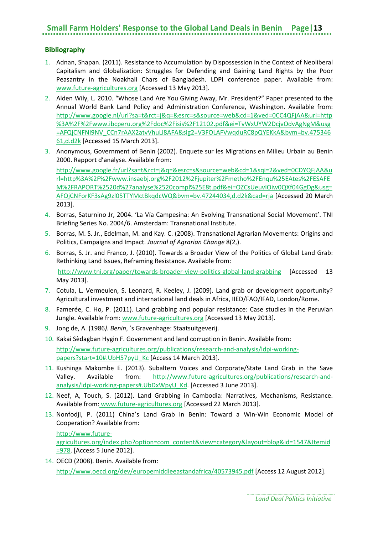#### <span id="page-16-0"></span>**Bibliography**

- 1. Adnan, Shapan. (2011). Resistance to Accumulation by Dispossession in the Context of Neoliberal Capitalism and Globalization: Struggles for Defending and Gaining Land Rights by the Poor Peasantry in the Noakhali Chars of Bangladesh. LDPI conference paper. Available from: [www.future-agricultures.org](http://www.future-agricultures.org/) [Accessed 13 May 2013].
- 2. Alden Wily, L. 2010. "Whose Land Are You Giving Away, Mr. President?" Paper presented to the Annual World Bank Land Policy and Administration Conference, Washington. Available from: [http://www.google.nl/url?sa=t&rct=j&q=&esrc=s&source=web&cd=1&ved=0CC4QFjAA&url=http](http://www.google.nl/url?sa=t&rct=j&q=&esrc=s&source=web&cd=1&ved=0CC4QFjAA&url=http%3A%2F%2Fwww.ibcperu.org%2Fdoc%2Fisis%2F12102.pdf&ei=TvWxUYW2DcjvOdvAgNgM&usg=AFQjCNFNI9NV_CCn7rAAX2atvVhuLi8AFA&sig2=V3FOLAFVwqduRC8pQYEKkA&bvm=bv.47534661,d.d2k) [%3A%2F%2Fwww.ibcperu.org%2Fdoc%2Fisis%2F12102.pdf&ei=TvWxUYW2DcjvOdvAgNgM&usg](http://www.google.nl/url?sa=t&rct=j&q=&esrc=s&source=web&cd=1&ved=0CC4QFjAA&url=http%3A%2F%2Fwww.ibcperu.org%2Fdoc%2Fisis%2F12102.pdf&ei=TvWxUYW2DcjvOdvAgNgM&usg=AFQjCNFNI9NV_CCn7rAAX2atvVhuLi8AFA&sig2=V3FOLAFVwqduRC8pQYEKkA&bvm=bv.47534661,d.d2k) [=AFQjCNFNI9NV\\_CCn7rAAX2atvVhuLi8AFA&sig2=V3FOLAFVwqduRC8pQYEKkA&bvm=bv.475346](http://www.google.nl/url?sa=t&rct=j&q=&esrc=s&source=web&cd=1&ved=0CC4QFjAA&url=http%3A%2F%2Fwww.ibcperu.org%2Fdoc%2Fisis%2F12102.pdf&ei=TvWxUYW2DcjvOdvAgNgM&usg=AFQjCNFNI9NV_CCn7rAAX2atvVhuLi8AFA&sig2=V3FOLAFVwqduRC8pQYEKkA&bvm=bv.47534661,d.d2k) [61,d.d2k](http://www.google.nl/url?sa=t&rct=j&q=&esrc=s&source=web&cd=1&ved=0CC4QFjAA&url=http%3A%2F%2Fwww.ibcperu.org%2Fdoc%2Fisis%2F12102.pdf&ei=TvWxUYW2DcjvOdvAgNgM&usg=AFQjCNFNI9NV_CCn7rAAX2atvVhuLi8AFA&sig2=V3FOLAFVwqduRC8pQYEKkA&bvm=bv.47534661,d.d2k) [Accessed 15 March 2013].
- 3. Anonymous, Government of Benin (2002). Enquete sur les Migrations en Milieu Urbain au Benin 2000. Rapport d'analyse. Available from:

[http://www.google.fr/url?sa=t&rct=j&q=&esrc=s&source=web&cd=1&sqi=2&ved=0CDYQFjAA&u](http://www.google.fr/url?sa=t&rct=j&q=&esrc=s&source=web&cd=1&sqi=2&ved=0CDYQFjAA&url=http%3A%2F%2Fwww.insaebj.org%2F2012%2Fjupiter%2Fmetho%2FEnqu%25EAtes%2FESAFEM%2FRAPORT%2520d%27analyse%2520compl%25E8t.pdf&ei=OZCsUeuvIOiw0QXf04GgDg&usg=AFQjCNForKF3sAg9zl05TTYMctBkqdcWQ&bvm=bv.47244034,d.d2k&cad=rja) [rl=http%3A%2F%2Fwww.insaebj.org%2F2012%2Fjupiter%2Fmetho%2FEnqu%25EAtes%2FESAFE](http://www.google.fr/url?sa=t&rct=j&q=&esrc=s&source=web&cd=1&sqi=2&ved=0CDYQFjAA&url=http%3A%2F%2Fwww.insaebj.org%2F2012%2Fjupiter%2Fmetho%2FEnqu%25EAtes%2FESAFEM%2FRAPORT%2520d%27analyse%2520compl%25E8t.pdf&ei=OZCsUeuvIOiw0QXf04GgDg&usg=AFQjCNForKF3sAg9zl05TTYMctBkqdcWQ&bvm=bv.47244034,d.d2k&cad=rja) [M%2FRAPORT%2520d%27analyse%2520compl%25E8t.pdf&ei=OZCsUeuvIOiw0QXf04GgDg&usg=](http://www.google.fr/url?sa=t&rct=j&q=&esrc=s&source=web&cd=1&sqi=2&ved=0CDYQFjAA&url=http%3A%2F%2Fwww.insaebj.org%2F2012%2Fjupiter%2Fmetho%2FEnqu%25EAtes%2FESAFEM%2FRAPORT%2520d%27analyse%2520compl%25E8t.pdf&ei=OZCsUeuvIOiw0QXf04GgDg&usg=AFQjCNForKF3sAg9zl05TTYMctBkqdcWQ&bvm=bv.47244034,d.d2k&cad=rja) [AFQjCNForKF3sAg9zl05TTYMctBkqdcWQ&bvm=bv.47244034,d.d2k&cad=rja](http://www.google.fr/url?sa=t&rct=j&q=&esrc=s&source=web&cd=1&sqi=2&ved=0CDYQFjAA&url=http%3A%2F%2Fwww.insaebj.org%2F2012%2Fjupiter%2Fmetho%2FEnqu%25EAtes%2FESAFEM%2FRAPORT%2520d%27analyse%2520compl%25E8t.pdf&ei=OZCsUeuvIOiw0QXf04GgDg&usg=AFQjCNForKF3sAg9zl05TTYMctBkqdcWQ&bvm=bv.47244034,d.d2k&cad=rja) [Accessed 20 March 2013].

- 4. Borras, Saturnino Jr, 2004. 'La Vía Campesina: An Evolving Transnational Social Movement'. TNI Briefing Series No. 2004/6. Amsterdam: Transnational Institute.
- 5. Borras, M. S. Jr., Edelman, M. and Kay. C. (2008). Transnational Agrarian Movements: Origins and Politics, Campaigns and Impact. *Journal of Agrarian Change* 8(2,).
- 6. Borras, S. Jr. and Franco, J. (2010). Towards a Broader View of the Politics of Global Land Grab: Rethinking Land Issues, Reframing Resistance. Available from: <http://www.tni.org/paper/towards-broader-view-politics-global-land-grabbing> [Accessed 13 May 2013].
- 7. Cotula, L. Vermeulen, S. Leonard, R. Keeley, J. (2009). Land grab or development opportunity? Agricultural investment and international land deals in Africa, IIED/FAO/IFAD, London/Rome.
- 8. Famerée, C. Ho, P. (2011). Land grabbing and popular resistance: Case studies in the Peruvian Jungle. Available from[: www.future-agricultures.org](http://www.future-agricultures.org/) [Accessed 13 May 2013].
- 9. Jong de, A. (1986*). Benin*, 's Gravenhage: Staatsuitgeverij.
- 10. Kakai Sèdagban Hygin F. Government and land corruption in Benin. Available from:

[http://www.future-agricultures.org/publications/research-and-analysis/ldpi-working](http://www.future-agricultures.org/publications/research-and-analysis/ldpi-working-papers?start=10%23.UbH57pyU_Kc)[papers?start=10#.UbH57pyU\\_Kc](http://www.future-agricultures.org/publications/research-and-analysis/ldpi-working-papers?start=10%23.UbH57pyU_Kc) [Access 14 March 2013].

- 11. Kushinga Makombe E. (2013). Subaltern Voices and Corporate/State Land Grab in the Save Valley. Available from: [http://www.future-agricultures.org/publications/research-and](http://www.future-agricultures.org/publications/research-and-analysis/ldpi-working-papers%23.UbDxWpyU_Kd)[analysis/ldpi-working-papers#.UbDxWpyU\\_Kd.](http://www.future-agricultures.org/publications/research-and-analysis/ldpi-working-papers%23.UbDxWpyU_Kd) [Accessed 3 June 2013].
- 12. Neef, A, Touch, S. (2012). Land Grabbing in Cambodia: Narratives, Mechanisms, Resistance. Available from: [www.future-agricultures.org](http://www.future-agricultures.org/) [Accessed 22 March 2013].
- 13. Nonfodji, P. (2011) China's Land Grab in Benin: Toward a Win-Win Economic Model of Cooperation? Available from:

[http://www.future](http://www.future-agricultures.org/index.php?option=com_content&view=category&layout=blog&id=1547&Itemid=978)[agricultures.org/index.php?option=com\\_content&view=category&layout=blog&id=1547&Itemid](http://www.future-agricultures.org/index.php?option=com_content&view=category&layout=blog&id=1547&Itemid=978) [=978.](http://www.future-agricultures.org/index.php?option=com_content&view=category&layout=blog&id=1547&Itemid=978) [Access 5 June 2012].

14. OECD (2008). Benin. Available from: <http://www.oecd.org/dev/europemiddleeastandafrica/40573945.pdf> [Access 12 August 2012].

*Land Deal Politics Initiative*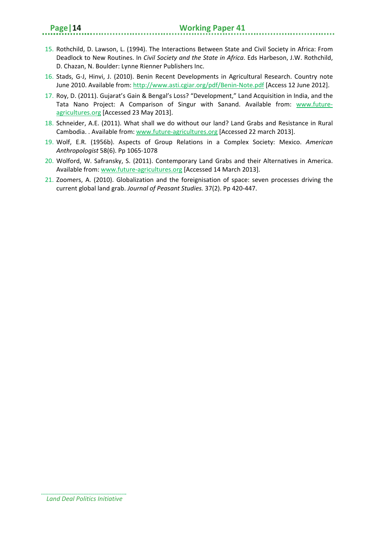- 15. Rothchild, D. Lawson, L. (1994). The Interactions Between State and Civil Society in Africa: From Deadlock to New Routines. In *Civil Society and the State in Africa*. Eds Harbeson, J.W. Rothchild, D. Chazan, N. Boulder: Lynne Rienner Publishers Inc.
- 16. Stads, G-J, Hinvi, J. (2010). Benin Recent Developments in Agricultural Research. Country note June 2010. Available from[: http://www.asti.cgiar.org/pdf/Benin-Note.pdf](http://www.asti.cgiar.org/pdf/Benin-Note.pdf) [Access 12 June 2012].
- 17. Roy, D. (2011). Gujarat's Gain & Bengal's Loss? "Development," Land Acquisition in India, and the Tata Nano Project: A Comparison of Singur with Sanand. Available from: [www.future](http://www.future-agricultures.org/)[agricultures.org](http://www.future-agricultures.org/) [Accessed 23 May 2013].
- 18. Schneider, A.E. (2011). What shall we do without our land? Land Grabs and Resistance in Rural Cambodia. . Available from[: www.future-agricultures.org](http://www.future-agricultures.org/) [Accessed 22 march 2013].
- 19. Wolf, E.R. (1956b). Aspects of Group Relations in a Complex Society: Mexico. *American Anthropologist* 58(6). Pp 1065-1078
- 20. Wolford, W. Safransky, S. (2011). Contemporary Land Grabs and their Alternatives in America. Available from: [www.future-agricultures.org](http://www.future-agricultures.org/) [Accessed 14 March 2013].
- 21. Zoomers, A. (2010). Globalization and the foreignisation of space: seven processes driving the current global land grab. *Journal of Peasant Studies.* 37(2). Pp 420-447.